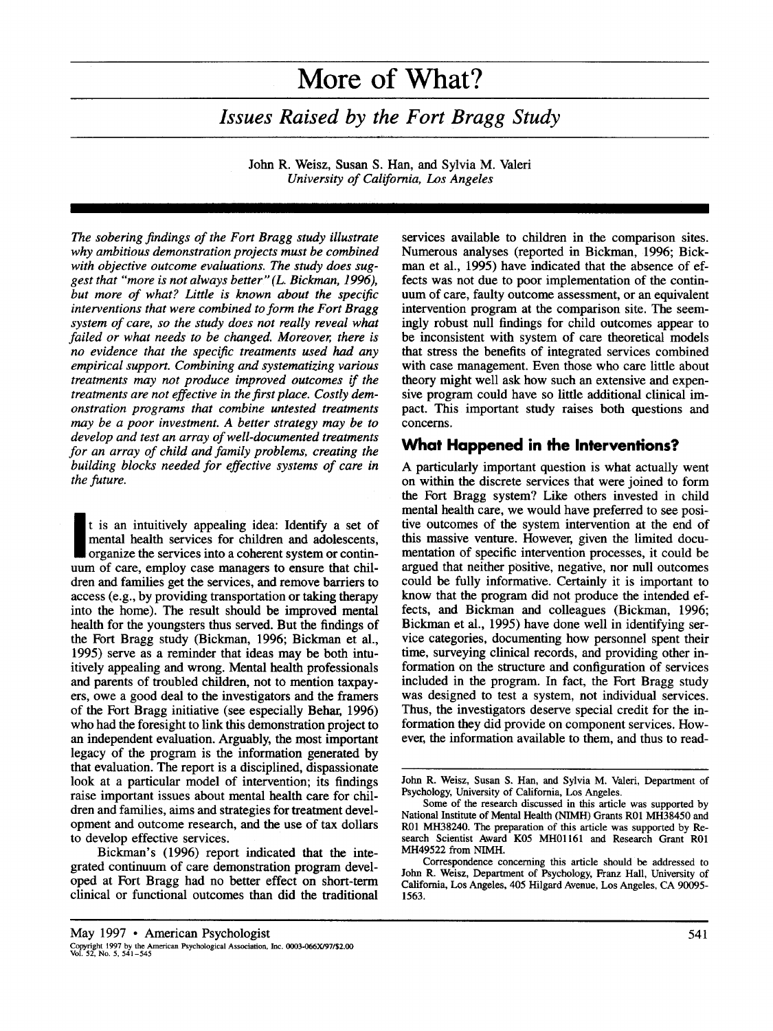# **More of What?**

*Issues Raised by the Fort Bragg Study* 

John R. Weisz, Susan S. Han, and Sylvia M. Valeri *University of California, Los Angeles* 

*The sobering findings of the Fort Bragg study illustrate why ambitious demonstration projects must be combined with objective outcome evaluations. The study does suggest that "more is not always better" (L. Bickman, 1996), but more of what? Little is known about the specific interventions that were combined to form the Fort Bragg system of care, so the study does not really reveal what failed or what needs to be changed. Moreover, there is no evidence that the specific treatments used had any empirical support. Combining and systematizing various treatments may not produce improved outcomes if the treatments are not effective in the first place. Costly demonstration programs that combine untested treatments may be a poor investment. A better strategy may be to develop and test an array of well-documented treatments for an array of child and family problems, creating the building blocks needed for effective systems of care in the future.* 

**~** t is an intuitively appealing idea: Identify a set of mental health services for children and adolescents, organize the services into a coherent system or continuum of care, employ case managers to ensure that children and families get the services, and remove barriers to access (e.g., by providing transportation or taking therapy into the home). The result should be improved mental health for the youngsters thus served. But the findings of the Fort Bragg study (Bickman, 1996; Bickman et al., 1995) serve as a reminder that ideas may be both intuitively appealing and wrong. Mental health professionals and parents of troubled children, not to mention taxpayers, owe a good deal to the investigators and the framers of the Fort Bragg initiative (see especially Behar, 1996) who had the foresight to link this demonstration project to an independent evaluation. Arguably, the most important legacy of the program is the information generated by that evaluation. The report is a disciplined, dispassionate look at a particular model of intervention; its findings raise important issues about mental health care for children and families, aims and strategies for treatment development and outcome research, and the use of tax dollars to develop effective services.

Bickman's (1996) report indicated that the integrated continuum of care demonstration program developed at Fort Bragg had no better effect on short-term clinical or functional outcomes than did the traditional services available to children in the comparison sites. Numerous analyses (reported in Bickman, 1996; Bickman et al., 1995) have indicated that the absence of effects was not due to poor implementation of the continuum of care, faulty outcome assessment, or an equivalent intervention program at the comparison site. The seemingly robust null findings for child outcomes appear to be inconsistent with system of care theoretical models that stress the benefits of integrated services combined with case management. Even those who care little about theory might well ask how such an extensive and expensive program could have so little additional clinical impact. This important study raises both questions and concerns.

#### **What Happened in the Interventions?**

A particularly important question is what actually went on within the discrete services that were joined to form the Fort Bragg system? Like others invested in child mental health care, we would have preferred to see positive outcomes of the system intervention at the end of this massive venture. However, given the limited documentation of specific intervention processes, it could be argued that neither positive, negative, nor null outcomes could be fully informative. Certainly it is important to know that the program did not produce the intended effects, and Bickman and colleagues (Bickman, 1996; Bickman et al., 1995) have done well in identifying service categories, documenting how personnel spent their time, surveying clinical records, and providing other information on the structure and configuration of services included in the program. In fact, the Fort Bragg study was designed to test a system, not individual services. Thus, the investigators deserve special credit for the information they did provide on component services. However, the information available to them, and thus to read-

John R. Weisz, Susan S. Han, and Sylvia M. Valeri, Department of Psychology, University of California, Los Angeles.

Some of the research discussed in this article was supported by National Institute of Mental Health (NIMH) Grants R01 MH38450 and R01 MH38240. The preparation of this article was supported by Research Scientist Award K05 MH01161 and Research Grant R01 MH49522 from NIMH.

Correspondence concerning this article should be addressed to **John** R. Weisz, Department of Psychology, Franz Hall, University of California, Los Angeles, 405 Hilgard Avenue, Los Angeles, CA 90095- 1563.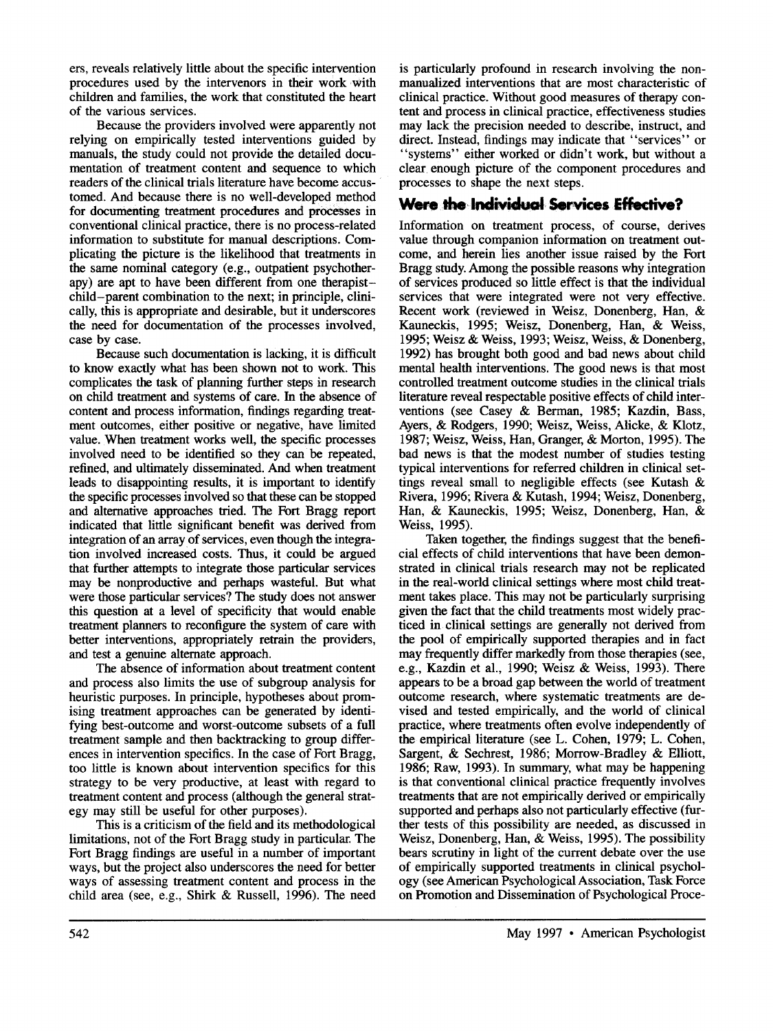ers, reveals relatively little about the specific intervention procedures used by the intervenors in their work with children and families, the work that constituted the heart of the various services.

Because the providers involved were apparently not relying on empirically tested interventions guided by manuals, the study could not provide the detailed documentation of treatment content and sequence to which readers of the clinical trials literature have become accustomed. And because there is no well-developed method for documenting treatment procedures and processes in conventional clinical practice, there is no process-related information to substitute for manual descriptions. Complicating the picture is the likelihood that treatments in the same nominal category (e.g., outpatient psychotherapy) are apt to have been different from one therapistchild-parent combination to the next; in principle, clinically, this is appropriate and desirable, but it underscores the need for documentation of the processes involved, case by case.

Because such documentation is lacking, it is difficult to know exactly what has been shown not to work. This complicates the task of planning further steps in research on child treatment and systems of care. In the absence of content and process information, findings regarding treatment outcomes, either positive or negative, have limited value. When treatment works well, the specific processes involved need to be identified so they canbe repeated, refined, and ultimately disseminated. And when treatment leads to disappointing results, it is important to identify the specific processes involved so that these can be stopped and alternative approaches tried. The Fort Bragg report indicated that little significant benefit was derived from integration of an array of services, even though the integration involved increased costs. Thus, it could be argued that further attempts to integrate those particular services may be nonproductive and perhaps wasteful. But what were those particular services? The study does not answer this question at a level of specificity that would enable treatment planners to reconfigure the system of care with better interventions, appropriately retrain the providers, and test a genuine alternate approach.

The absence of information about treatment content and process also limits the use of subgroup analysis for heuristic purposes. In principle, hypotheses about promising treatment approaches can be generated by identifying best-outcome and worst-outcome subsets of a full treatment sample and then backtracking to group differences in intervention specifics. In the case of Fort Bragg, too little is known about intervention specifics for this strategy to be very productive, at least with regard to treatment content and process (although the general strategy may still be useful for other purposes).

This is a criticism of the field and its methodological limitations, not of the Fort Bragg study in particular. The Fort Bragg findings are useful in a number of important ways, but the project also underscores the need for better ways of assessing treatment content and process in the child area (see, e.g., Shirk & Russell, 1996). The need

is particularly profound in research involving the nonmanualized interventions that are most characteristic of clinical practice. Without good measures of therapy content and process in clinical practice, effectiveness studies may lack the precision needed to describe, instruct, and direct. Instead, findings may indicate that "services" or "systems" either worked or didn't work, but without a clear enough picture of the component procedures and processes to shape the next steps.

# **Were the Individual Services Effective?**

Information on treatment process, of course, derives value through companion information on treatment outcome, and herein lies another issue raised by the Fort Bragg study. Among the possible reasons why integration of services produced so little effect is that the individual services that were integrated were not very effective. Recent work (reviewed in Weisz, Donenberg, Han, & Kauneckis, 1995; Weisz, Donenberg, Han, & Weiss, 1995; Weisz & Weiss, 1993; Weisz, Weiss, & Donenberg, 1992) has brought both good and bad news about child mental health interventions. The good news is that most controlled treatment outcome studies in the clinical trials literature reveal respectable positive effects of child interventions (see Casey & Berman, 1985; Kazdin, Bass, Ayers, & Rodgers, 1990; Weisz, Weiss, Alicke, & Klotz, 1987; Weisz, Weiss, Han, Granger, & Morton, 1995). The bad news is that the modest number of studies testing typical interventions for referred children in clinical settings reveal small to negligible effects (see Kutash & Rivera, 1996; Rivera & Kutash, 1994; Weisz, Donenberg, Han, & Kauneckis, 1995; Weisz, Donenberg, Han,& Weiss, 1995).

Taken together, the findings suggest that the beneficial effects of child interventions that have been demonstrated in clinical trials research may not be replicated in the real-world clinical settings where most child treatment takes place. This may not be particularly surprising given the fact that the child treatments most widely practiced in clinical settings are generally not derived from the pool of empirically supported therapies and in fact may frequently differ markedly from those therapies (see, e.g., Kazdin et al., 1990; Weisz & Weiss, 1993). There appears to be a broad gap between the world of treatment outcome research, where systematic treatments are devised and tested empirically, and the world of clinical practice, where treatments often evolve independently of the empirical literature (see L. Cohen, 1979; L. Cohen, Sargent, & Sechrest, 1986; Morrow-Bradley & Elliott, 1986; Raw, 1993). In summary, what may be happening is that conventional clinical practice frequently involves treatments that are not empirically derived or empirically supported and perhaps also not particularly effective (further tests of this possibility are needed, as discussed in Weisz, Donenberg, Han, & Weiss, 1995). The possibility bears scrutiny in light of the current debate over the use of empirically supported treatments in clinical psychology (see American Psychological Association, Task Force on Promotion and Dissemination of Psychological Proce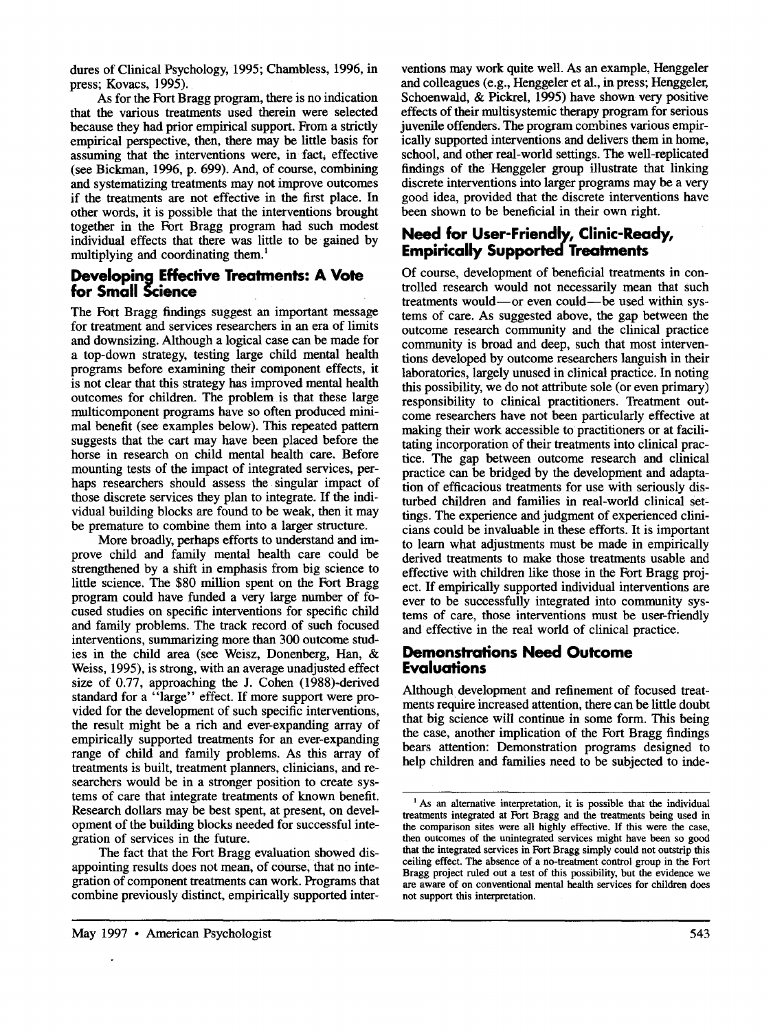dures of Clinical Psychology, 1995; Chambless, 1996, in press; Kovacs, 1995).

As for the Fort Bragg program, there is no indication that the various treatments used therein were selected because they had prior empirical support. From a strictly empirical perspective, then, there may be little basis for assuming that the interventions were, in fact, effective (see Bickman, 1996, p. 699). And, of course, combining and systematizing treatments may not improve outcomes if the treatments are not effective in the first place. In other words, it is possible that the interventions brought together in the Fort Bragg program had such modest individual effects that there was little to be gained by multiplying and coordinating them. $<sup>1</sup>$ </sup>

#### **Developing Effective Treatments: A Vote for Small Science**

The Fort Bragg findings suggest an important message for treatment and services researchers in an era of limits and downsizing. Although a logical case can be made for a top-down strategy, testing large child mental health programs before examining their component effects, **it**  is not clear that this strategy has improved mental health outcomes for children. The problem is that these large multicomponent programs have so often produced minimal benefit (see examples below). This repeated pattern suggests that the cart may have been placed before the horse in research on child mental health care. Before mounting tests of the impact of integrated services, perhaps researchers should assess the singular impact of those discrete services they plan to integrate. If the individual building blocks are found to be weak, then it may be premature to combine them into a larger structure.

More broadly, perhaps efforts to understand and improve child and family mental health care could be strengthened by a shift in emphasis from big science to little science. The \$80 million spent on the Fort Bragg program could have funded a very large number of focused studies on specific interventions for specific child and family problems. The track record of such focused interventions, summarizing more than 300 outcome studies in the child area (see Weisz, Donenberg, Han, & Weiss, 1995), is strong, with an average unadjusted effect size of 0.77, approaching the J. Cohen (1988)-derived standard for a "large" effect. If more support were provided for the development of such specific interventions, the result might be a rich and ever-expanding array of empirically supported treatments for an ever-expanding range of child and family problems. As this array of treatments is built, treatment planners, clinicians, and researchers would be in a stronger position to create systems of care that integrate treatments of known benefit. Research dollars may be best spent, at present, on development of the building blocks needed for successful integration of services in the future.

The fact that the Fort Bragg evaluation showed disappointing results does not mean, of course, that no integration of component treatments can work. Programs that combine previously distinct, empirically supported inter-

ventions may work quite well. As an example, Henggeler and colleagues (e.g., Henggeler et al., in press; Henggeler, Schoenwald, & Pickrel, 1995) have shown very positive effects of their multisystemic therapy program for serious juvenile offenders, The program combines various empirically supported interventions and delivers them in home, school, and other real-world settings. The well-replicated findings of the Henggeler group illustrate that linking discrete interventions into larger programs may be a very good idea, provided that the discrete interventions have been shown to be beneficial in their own fight.

## **Need for User-Frlendly, Clinic-Ready, Empirically Supported Treatments**

Of course, development of beneficial treatments in controlled research would not necessarily mean that such treatments would--or even could--be used within systems of care. As suggested above, the gap between the outcome research community and the clinical practice community is broad and deep, such that most interventions developed by outcome researchers languish in their laboratories, largely unused in clinical practice. In noting this possibility, we do not attribute sole (or even primary) responsibility to clinical practitioners. Treatment outcome researchers have not been particularly effective at making their work accessible to practitioners or at facilitating incorporation of their treatments into clinical practice. The gap between outcome research and clinical practice can be bridged by the development and adaptation of efficacious treatments for use with seriously disturbed children and families in real-world clinical settings. The experience and judgment of experienced clinicians could be invaluable in these efforts. It is important to learn what adjustments must be made in empirically derived treatments to make those treatments usable and effective with children like those in the Fort Bragg project. If empirically supported individual interventions are ever to be successfully integrated into community systems of care, those interventions must be user-friendly and effective in the real world of clinical practice.

#### **Demonstrations Need Outcome Evaluations**

Although development and refinement of focused treatments require increased attention, there can be little doubt that big science will continue in some form. This being the case, another implication of the Fort Bragg findings bears attention: Demonstration programs designed to help children and families need to be subjected to inde-

<sup>&</sup>lt;sup>1</sup> As an alternative interpretation, it is possible that the individual treatments integrated at Fort Bragg and the treatments being used in the comparison sites were all highly effective. If this were the case, then outcomes of the unintegrated services might have been so good that the integrated services in Fort Bragg simply could not outstrip this ceiling effect. The absence of a no-treatment control group in the Fort Bragg project ruled out a test of this possibility, but the evidence we are aware of on conventional mental health services for children does not support this interpretation.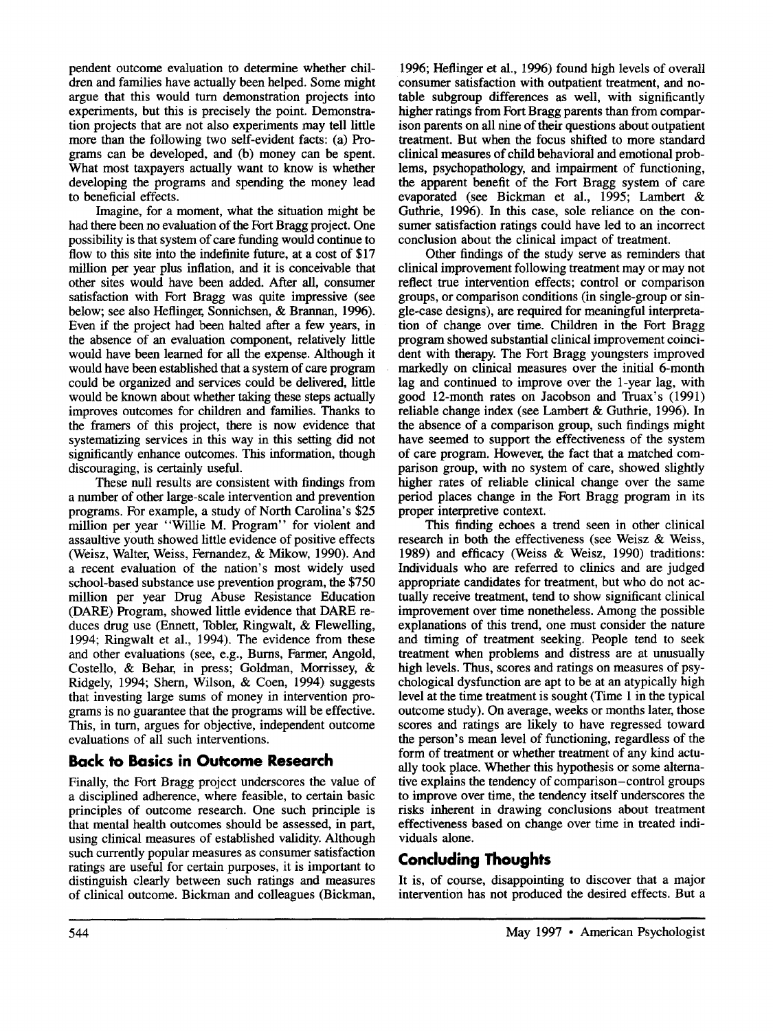pendent outcome evaluation to determine whether children and families have actually been helped. Some might argue that this would turn demonstration projects into experiments, but this is precisely the point. Demonstration projects that are not also experiments may tell little more than the following two self-evident facts: (a) Programs can be developed, and (b) money can be spent. What most taxpayers actually want to know is whether developing the programs and spending the money lead to beneficial effects.

Imagine, for a moment, what the situation might be had there been no evaluation of the Fort Bragg project. One possibility is that system of care funding would continue to flow to this site into the indefinite future, at a cost of \$17 million per year plus inflation, and it is conceivable that other sites would have been added. After all, consumer satisfaction with Fort Bragg was quite impressive (see below; see also Heflinger, Sonnichsen, & Brannan, 1996). Even if the project had been halted after a few years, in the absence of an evaluation component, relatively little would have been learned for all the expense. Although it would have been established that a system of care program could be organized and services could be delivered, little would be known about whether taking these steps actually improves outcomes for children and families. Thanks to the framers of this project, there is now evidence that systematizing services in this way in this setting did not significantly enhance outcomes. This information, though discouraging, is certainly useful.

These null results are consistent with findings from a number of other large-scale intervention and prevention programs. For example, a study of North Carolina's \$25 million per year "Willie M. Program" for violent and assaultive youth showed little evidence of positive effects (Weisz, Walter, Weiss, Fernandez, & Mikow, 1990). And a recent evaluation of the nation's most widely used school-based substance use prevention program, the \$750 million per year Drug Abuse Resistance Education (DARE) Program, showed little evidence that DARE reduces drug use (Ennett, Tobler, Ringwalt, & Flewelling, 1994; Ringwalt et al., 1994). The evidence from these and other evaluations (see, e.g., Burns, Farmer, Angold, Costello, & Behar, in press; Goldman, Morrissey, & Ridgely, 1994; Shern, Wilson, & Coen, 1994) suggests that investing large sums of money in intervention programs is no guarantee that the programs will be effective. This, in turn, argues for objective, independent outcome evaluations of all such interventions.

### **Back to Basics in Outcome Research**

Finally, the Fort Bragg project underscores the value of a disciplined adherence, where feasible, to certain basic principles of outcome research. One such principle is that mental health outcomes should be assessed, in part, using clinical measures of established validity. Although such currently popular measures as consumer satisfaction ratings are useful for certain purposes, it is important to distinguish clearly between such ratings and measures of clinical outcome. Bickman and colleagues (Bickman,

1996; Heflinger et al., 1996) found high levels of overall consumer satisfaction with outpatient treatment, and notable subgroup differences as well, with significantly higher ratings from Fort Bragg parents than from comparison parents on all nine of their questions about outpatient treatment. But when the focus shifted to more standard clinical measures of child behavioral and emotional problems, psychopathology, and impairment of functioning, the apparent benefit of the Fort Bragg system of care evaporated (see Bickman et al., 1995; Lambert & Guthrie, 1996). In this case, sole reliance on the consumer satisfaction ratings could have led to an incorrect conclusion about the clinical impact of treatment.

Other findings of the study serve as reminders that clinical improvement following treatment may or may not reflect true intervention effects; control or comparison groups, or comparison conditions (in single-group or single-case designs), are required for meaningful interpretation of change over time. Children in the Fort Bragg program showed substantial clinical improvement coincident with therapy. The Fort Bragg youngsters improved markedly on clinical measures over the initial 6-month lag and continued to improve over the 1-year lag, with good 12-month rates on Jacobson and Truax's (1991) reliable change index (see Lambert & Guthrie, 1996). In the absence of a comparison group, such findings might have seemed to support the effectiveness of the system of care program. However, the fact that a matched comparison group, with no system of care, showed slightly higher rates of reliable clinical change over the same period places change in the Fort Bragg program in its proper interpretive context.

This finding echoes a trend seen in other clinical research in both the effectiveness (see Weisz & Weiss, 1989) and efficacy (Weiss & Weisz, 1990) traditions: Individuals who are referred to clinics and are judged appropriate candidates for treatment, but who do not actually receive treatment, tend to show significant clinical improvement over time nonetheless. Among the possible explanations of this trend, one must consider the nature and timing of treatment seeking. People tend to seek treatment when problems and distress are at unusually high levels. Thus, scores and ratings on measures of psychological dysfunction are apt to be at an atypically high level at the time treatment is sought (Time 1 in the typical outcome study). On average, weeks or months later, those scores and ratings are likely to have regressed toward the person's mean level of functioning, regardless of the form of treatment or whether treatment of any kind actually took place. Whether this hypothesis or some alternative explains the tendency of comparison-control groups to improve over time, the tendency itself underscores the risks inherent in drawing conclusions about treatment effectiveness based on change over time in treated individuals alone.

# **Concluding Thoughts**

It is, of course, disappointing to discover that a major intervention has not produced the desired effects. But a